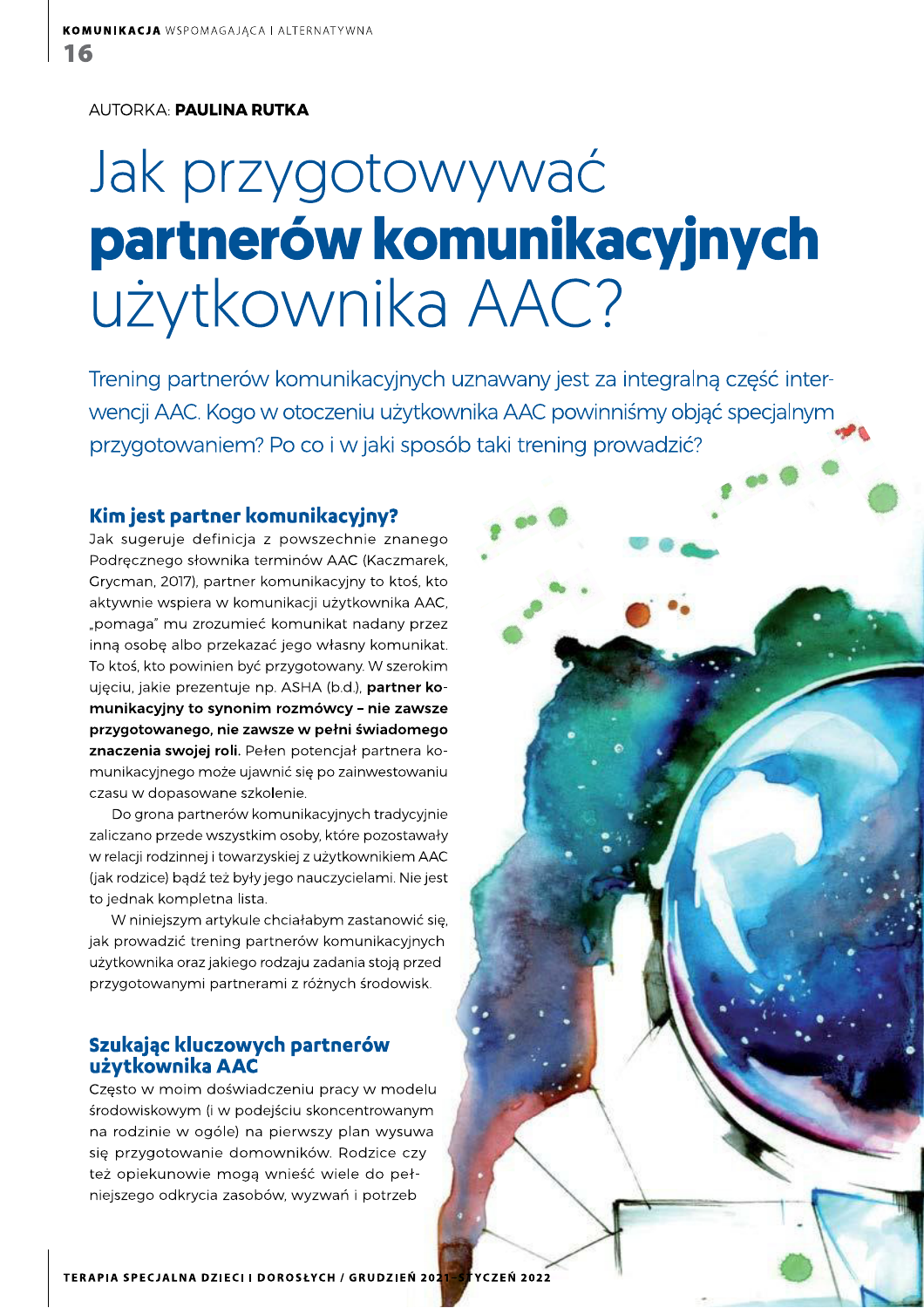**AUTORKA: PAULINA RUTKA** 

# Jak przygotowywać partnerów komunikacyjnych użytkownika AAC?

Trening partnerów komunikacyjnych uznawany jest za integralną część interwencji AAC. Kogo w otoczeniu użytkownika AAC powinniśmy objąć specjalnym przygotowaniem? Po co i w jaki sposób taki trening prowadzić?

#### Kim jest partner komunikacyjny?

Jak sugeruje definicja z powszechnie znanego Podręcznego słownika terminów AAC (Kaczmarek, Grycman, 2017), partner komunikacyjny to ktoś, kto aktywnie wspiera w komunikacji użytkownika AAC, "pomaga" mu zrozumieć komunikat nadany przez inną osobę albo przekazać jego własny komunikat. To ktoś, kto powinien być przygotowany. W szerokim ujęciu, jakie prezentuje np. ASHA (b.d.), partner komunikacyjny to synonim rozmówcy - nie zawsze przygotowanego, nie zawsze w pełni świadomego znaczenia swojej roli. Pełen potencjał partnera komunikacyjnego może ujawnić się po zainwestowaniu czasu w dopasowane szkolenie.

Do grona partnerów komunikacyjnych tradycyjnie zaliczano przede wszystkim osoby, które pozostawały w relacji rodzinnej i towarzyskiej z użytkownikiem AAC (jak rodzice) bądź też były jego nauczycielami. Nie jest to jednak kompletna lista.

W niniejszym artykule chciałabym zastanowić się, jak prowadzić trening partnerów komunikacyjnych użytkownika oraz jakiego rodzaju zadania stoją przed przygotowanymi partnerami z różnych środowisk.

#### Szukając kluczowych partnerów użytkownika AAC

Często w moim doświadczeniu pracy w modelu środowiskowym (i w podejściu skoncentrowanym na rodzinie w ogóle) na pierwszy plan wysuwa się przygotowanie domowników. Rodzice czy też opiekunowie mogą wnieść wiele do pełniejszego odkrycia zasobów, wyzwań i potrzeb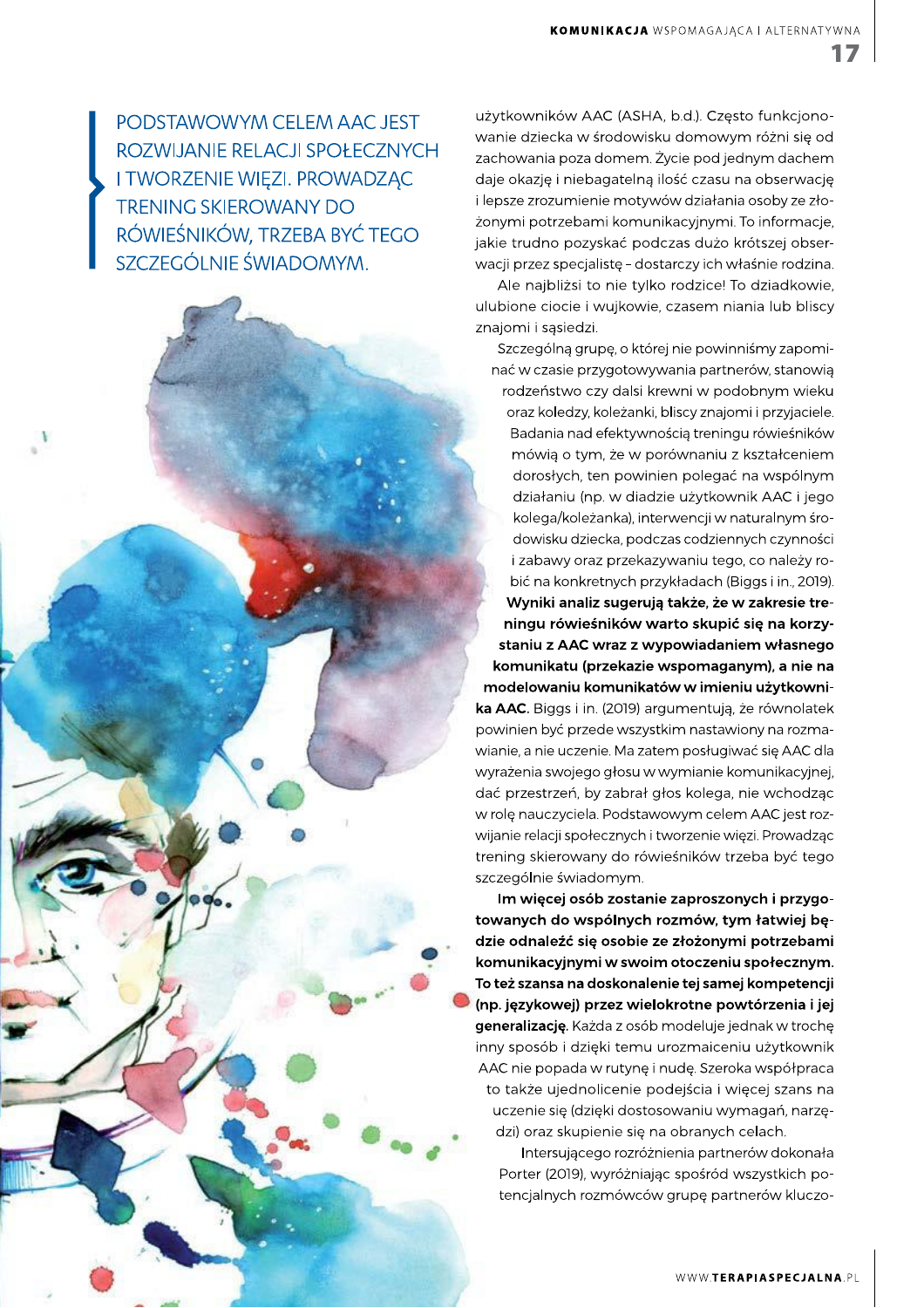17

PODSTAWOWYM CELEM AAC JEST ROZWIJANIE RELACJI SPOŁECZNYCH **I TWORZENIE WIĘZI. PROWADZĄC TRENING SKIEROWANY DO** RÓWIEŚNIKÓW, TRZEBA BYĆ TEGO SZCZEGÓLNIE ŚWIADOMYM.

użytkowników AAC (ASHA, b.d.). Często funkcjonowanie dziecka w środowisku domowym różni się od zachowania poza domem. Życie pod jednym dachem daje okazję i niebagatelną ilość czasu na obserwację i lepsze zrozumienie motywów działania osoby ze złożonymi potrzebami komunikacyjnymi. To informacje, jakie trudno pozyskać podczas dużo krótszej obserwacji przez specjalistę - dostarczy ich właśnie rodzina.

Ale najbliżsi to nie tylko rodzice! To dziadkowie, ulubione ciocie i wujkowie, czasem niania lub bliscy znajomi i sąsiedzi.

Szczególną grupę, o której nie powinniśmy zapominać w czasie przygotowywania partnerów, stanowią rodzeństwo czy dalsi krewni w podobnym wieku oraz koledzy, koleżanki, bliscy znajomi i przyjaciele. Badania nad efektywnością treningu rówieśników mówią o tym, że w porównaniu z kształceniem dorosłych, ten powinien polegać na wspólnym działaniu (np. w diadzie użytkownik AAC i jego kolega/koleżanka), interwencji w naturalnym środowisku dziecka, podczas codziennych czynności i zabawy oraz przekazywaniu tego, co należy robić na konkretnych przykładach (Biggs i in., 2019). Wyniki analiz sugerują także, że w zakresie treningu rówieśników warto skupić się na korzystaniu z AAC wraz z wypowiadaniem własnego komunikatu (przekazie wspomaganym), a nie na modelowaniu komunikatów w imieniu użytkownika AAC. Biggs i in. (2019) argumentują, że równolatek powinien być przede wszystkim nastawiony na rozmawianie, a nie uczenie. Ma zatem posługiwać się AAC dla wyrażenia swojego głosu w wymianie komunikacyjnej, dać przestrzeń, by zabrał głos kolega, nie wchodząc w rolę nauczyciela. Podstawowym celem AAC jest rozwijanie relacji społecznych i tworzenie więzi. Prowadząc trening skierowany do rówieśników trzeba być tego szczególnie świadomym.

Im więcej osób zostanie zaproszonych i przygotowanych do wspólnych rozmów, tym łatwiej będzie odnaleźć się osobie ze złożonymi potrzebami komunikacyjnymi w swoim otoczeniu społecznym. To też szansa na doskonalenie tej samej kompetencji (np. językowej) przez wielokrotne powtórzenia i jej generalizację. Każda z osób modeluje jednak w trochę inny sposób i dzięki temu urozmajceniu użytkownik AAC nie popada w rutynę i nudę. Szeroka współpraca to także ujednolicenie podejścia i więcej szans na uczenie się (dzięki dostosowaniu wymagań, narzędzi) oraz skupienie się na obranych celach.

Intersującego rozróżnienia partnerów dokonała Porter (2019), wyróżniając spośród wszystkich potencjalnych rozmówców grupę partnerów kluczo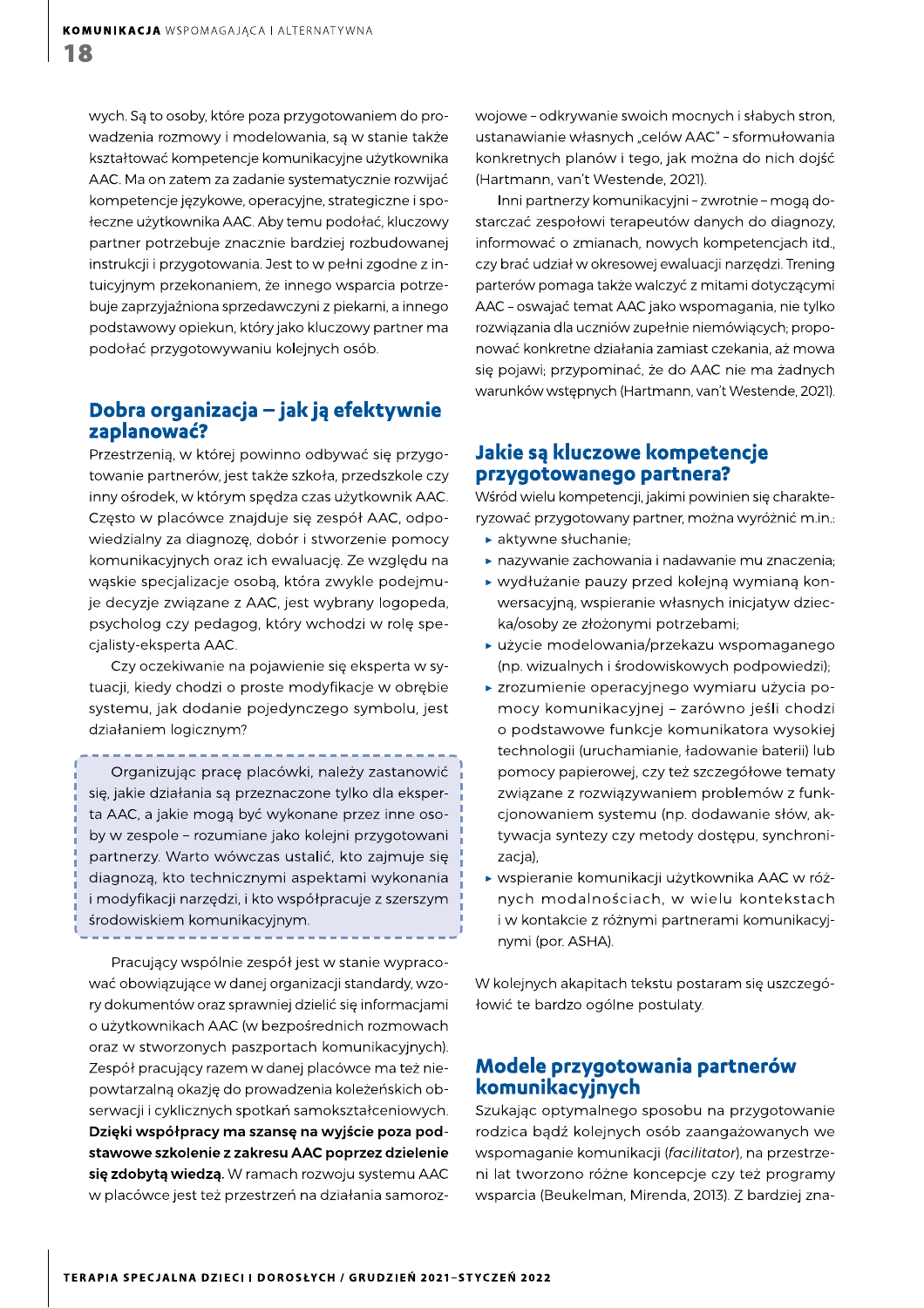$\begin{array}{ll} \textbf{KOMUNIKACJA} \text{ WSPOMAGAJACA I ALTERNATYWNA} \\\\ \textbf{\$} \end{array}$  wych. Są to osoby, które poza przygotowaniem do pro-<br>wadzenia rozmowy i modelowania, są w stanie także wadzenia rozmowy i modelowania, są w stanie także kształtować kompetencje komunikacyjne użytkownika AAC. Ma on zatem za zadanie systematycznie rozwijać kompetencie jezykowe, operacyine, strategiczne i społeczne użytkownika AAC. Aby temu podołać, kluczowy partner potrzebuje znacznie bardziej rozbudowanej instrukcji i przygotowania. Jest to w pełni zgodne z intuicyjnym przekonaniem, że innego wsparcia potrzebuje zaprzyjaźniona sprzedawczyni z piekarni, a innego podstawowy opiekun, który jako kluczowy partner ma podołać przygotowywaniu kolejnych osób.

## Dobra organizacja – jak ją efektywnie<br>zaplanować?

Przestrzenią, w której powinno odbywać się przygotowanie partnerów, jest także szkoła, przedszkole czy inny ośrodek, w którym spędza czas użytkownik AAC. Często w placówce znajduje się zespół AAC, odpowiedzialny za diagnozę, dobór i stworzenie pomocy komunikacyjnych oraz ich ewaluację. Ze względu na wąskie specjalizacje osobą, która zwykle podejmuje decyzje związane z AAC, jest wybrany logopeda, psycholog czy pedagog, który wchodzi w rolę specjalisty-eksperta AAC.

Czy oczekiwanie na pojawienie się eksperta w sytuacji, kiedy chodzi o proste modyfikacje w obrębie systemu, jak dodanie pojedynczego symbolu, jest działaniem logicznym?

Organizując pracę placówki, należy zastanowić się, jakie działania są przeznaczone tylko dla eksperta AAC, a jakie mogą być wykonane przez inne osoby w zespole - rozumiane jako kolejni przygotowani partnerzy. Warto wówczas ustalić, kto zajmuje się diagnozą, kto technicznymi aspektami wykonania i modyfikacji narzędzi, i kto współpracuje z szerszym środowiskiem komunikacyjnym.

Pracujący wspólnie zespół jest w stanie wypracować obowiązujące w danej organizacji standardy, wzory dokumentów oraz sprawniej dzielić się informacjami o użytkownikach AAC (w bezpośrednich rozmowach oraz w stworzonych paszportach komunikacyjnych). Zespół pracujący razem w danej placówce ma też niepowtarzalną okazję do prowadzenia koleżeńskich obserwacji i cyklicznych spotkań samokształceniowych. Dzięki współpracy ma szansę na wyjście poza podstawowe szkolenie z zakresu AAC poprzez dzielenie się zdobytą wiedzą. W ramach rozwoju systemu AAC w placówce jest też przestrzeń na działania samorozwojowe - odkrywanie swoich mocnych i słabych stron, ustanawianie własnych "celów AAC" - sformułowania konkretnych planów i tego, jak można do nich dojść (Hartmann, van't Westende, 2021).

Inni partnerzy komunikacyini - zwrotnie - moga dostarczać zespołowi terapeutów danych do diagnozy, informować o zmianach, nowych kompetencjach itd., czy brać udział w okresowej ewaluacji narzędzi. Trening parterów pomaga także walczyć z mitami dotyczącymi AAC - oswajać temat AAC jako wspomagania, nie tylko rozwiązania dla uczniów zupełnie niemówiących; proponować konkretne działania zamiast czekania, aż mowa się pojawi; przypominać, że do AAC nie ma żadnych warunków wstępnych (Hartmann, van't Westende, 2021).

# Jakie są kluczowe kompetencje<br>przygotowanego partnera?

Wśród wielu kompetencji, jakimi powinien się charakteryzować przygotowany partner, można wyróżnić m.in.:

- $\blacktriangleright$  aktywne słuchanie;
- $\blacktriangleright$  nazywanie zachowania i nadawanie mu znaczenia;
- ▶ wydłużanie pauzy przed kolejną wymianą konwersacyjną, wspieranie własnych inicjatyw dziecka/osoby ze złożonymi potrzebami;
- $\blacktriangleright$  użycie modelowania/przekazu wspomaganego (np. wizualnych i środowiskowych podpowiedzi);
- ▶ zrozumienie operacyjnego wymiaru użycia pomocy komunikacyjnej - zarówno jeśli chodzi o podstawowe funkcje komunikatora wysokiej technologii (uruchamianie, ładowanie baterii) lub pomocy papierowej, czy też szczegółowe tematy związane z rozwiązywaniem problemów z funkcjonowaniem systemu (np. dodawanie słów, aktywacja syntezy czy metody dostępu, synchronizacja),
- wspieranie komunikacji użytkownika AAC w różnych modalnościach, w wielu kontekstach i w kontakcie z różnymi partnerami komunikacyjnymi (por. ASHA).

W kolejnych akapitach tekstu postaram się uszczegółowić te bardzo ogólne postulaty.

# Modele przygotowania partnerów<br>komunikacyjnych

Szukając optymalnego sposobu na przygotowanie rodzica bądź kolejnych osób zaangażowanych we wspomaganie komunikacji (facilitator), na przestrzeni lat tworzono różne koncepcje czy też programy wsparcia (Beukelman, Mirenda, 2013). Z bardziej zna-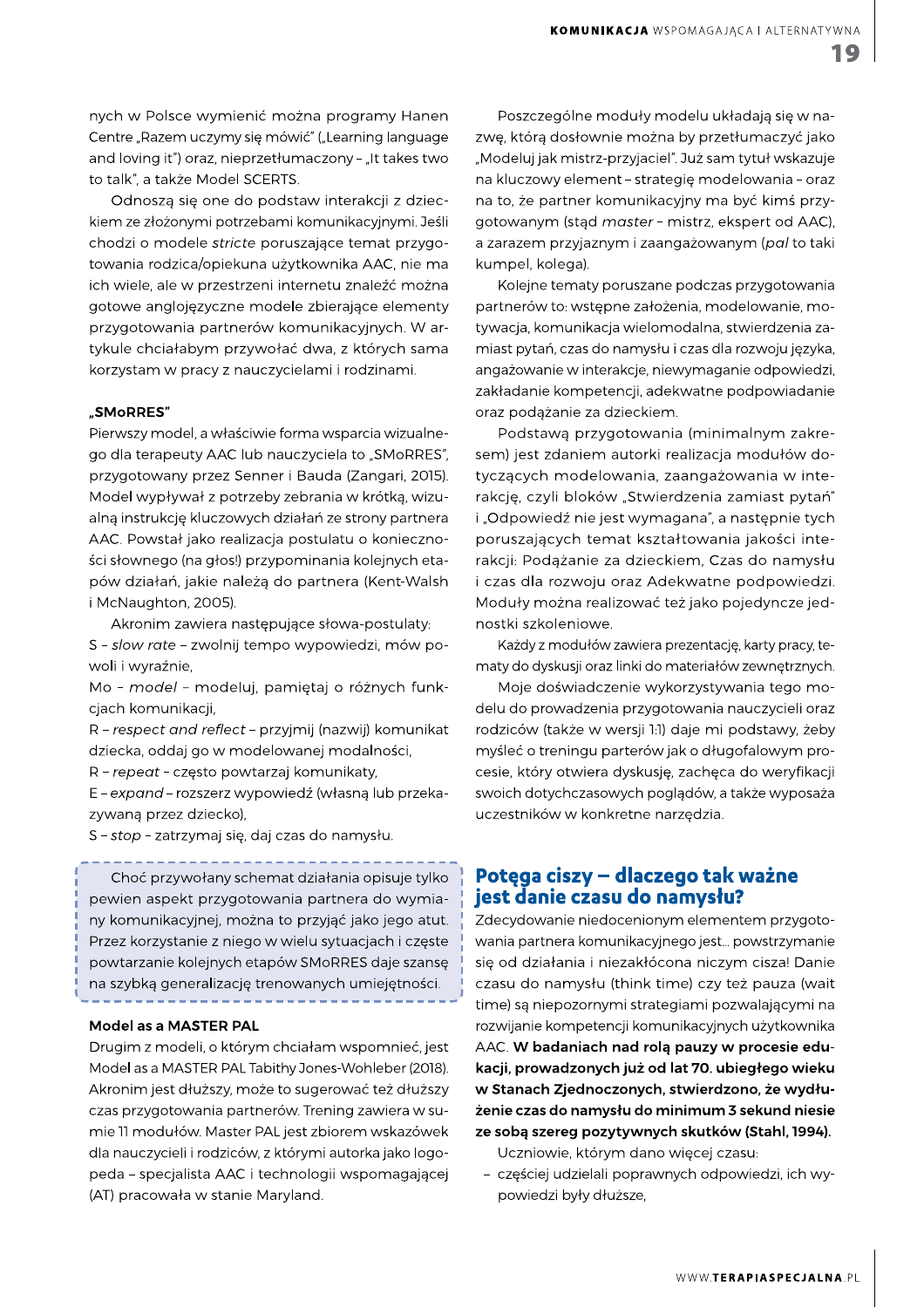! "#\$ %&% '()\*+ (,+ -./01213456/712.897-9:184;-<1=>4?><8.1@<-7-1 A7-B>71CD<E781F/E.8.169G18H29:I1JCK7<>-9-?15<-?F<?71 and loving it") oraz, nieprzetłumaczony - "It takes two to talk", a także Model SCERTS.

Odnosza się one do podstaw interakcji z dzieckiem ze złożonymi potrzebami komunikacyjnymi. Jeśli chodzi o modele stricte poruszające temat przygotowania rodzica/opiekuna użytkownika AAC, nie ma ich wiele, ale w przestrzeni internetu znaleźć można gotowe anglojęzyczne modele zbierające elementy przygotowania partnerów komunikacyjnych. W artykule chciałabym przywołać dwa, z których sama korzystam w pracy z nauczycielami i rodzinami.

#### "SMoRRES"

Pierwszy model, a właściwie forma wsparcia wizualnego dla terapeuty AAC lub nauczyciela to "SMoRRES", przygotowany przez Senner i Bauda (Zangari, 2015). Model wypływał z potrzeby zebrania w krótką, wizualną instrukcję kluczowych działań ze strony partnera AAC. Powstał jako realizacja postulatu o konieczności słownego (na głos!) przypominania kolejnych etapów działań, jakie należą do partnera (Kent-Walsh i McNaughton, 2005).

Akronim zawiera następujące słowa-postulaty:

S - slow rate - zwolnij tempo wypowiedzi, mów powoli i wyraźnie,

Mo - model - modeluj, pamiętaj o różnych funkcjach komunikacji,

R - respect and reflect - przyjmij (nazwij) komunikat dziecka, oddaj go w modelowanej modalności,

R - repeat - często powtarzaj komunikaty,

E - expand - rozszerz wypowiedź (własną lub przekazywaną przez dziecko),

S - stop - zatrzymaj się, daj czas do namysłu.

Choć przywołany schemat działania opisuje tylko pewien aspekt przygotowania partnera do wymiany komunikacyjnej, można to przyjąć jako jego atut. Przez korzystanie z niego w wielu sytuacjach i częste powtarzanie kolejnych etapów SMoRRES daje szansę na szybką generalizację trenowanych umiejętności.

#### Model as a MASTER PAL

Drugim z modeli, o którym chciałam wspomnieć, jest Model as a MASTER PAL Tabithy Jones-Wohleber (2018). Akronim jest dłuższy, może to sugerować też dłuższy czas przygotowania partnerów. Trening zawiera w sumie 11 modułów. Master PAL jest zbiorem wskazówek dla nauczycieli i rodziców, z którymi autorka jako logopeda - specjalista AAC i technologii wspomagającej (AT) pracowała w stanie Maryland.

Poszczególne moduły modelu układają się w nazwę, którą dosłownie można by przetłumaczyć jako "Modeluj jak mistrz-przyjaciel". Już sam tytuł wskazuje na kluczowy element - strategię modelowania - oraz na to, że partner komunikacyjny ma być kimś przygotowanym (stąd master - mistrz, ekspert od AAC), a zarazem przyjaznym i zaangażowanym (pal to taki kumpel, kolega).

Kolejne tematy poruszane podczas przygotowania partnerów to: wstępne założenia, modelowanie, motywacja, komunikacja wielomodalna, stwierdzenia zamiast pytań, czas do namysłu i czas dla rozwoju języka, angażowanie w interakcje, niewymaganie odpowiedzi, zakładanie kompetencji, adekwatne podpowiadanie oraz podążanie za dzieckiem.

Podstawą przygotowania (minimalnym zakresem) jest zdaniem autorki realizacja modułów dotyczących modelowania, zaangażowania w interakcję, czyli bloków "Stwierdzenia zamiast pytań" i "Odpowiedź nie jest wymagana", a następnie tych poruszających temat kształtowania jakości interakcji: Podążanie za dzieckiem, Czas do namysłu i czas dla rozwoju oraz Adekwatne podpowiedzi. Moduły można realizować też jako pojedyncze jednostki szkoleniowe.

Każdy z modułów zawiera prezentację, karty pracy, tematy do dyskusji oraz linki do materiałów zewnętrznych.

Moje doświadczenie wykorzystywania tego modelu do prowadzenia przygotowania nauczycieli oraz rodziców (także w wersji 1:1) daje mi podstawy, żeby myśleć o treningu parterów jak o długofalowym procesie, który otwiera dyskusję, zachęca do weryfikacji swoich dotychczasowych poglądów, a także wyposaża uczestników w konkretne narzędzia.

### Potęga ciszy – dlaczego tak ważne<br>jest danie czasu do namysłu?

Zdecydowanie niedocenionym elementem przygotowania partnera komunikacyjnego jest... powstrzymanie się od działania i niezakłócona niczym cisza! Danie czasu do namysłu (think time) czy też pauza (wait time) są niepozornymi strategiami pozwalającymi na rozwijanie kompetencji komunikacyjnych użytkownika AAC. W badaniach nad rola pauzy w procesie edukacji, prowadzonych już od lat 70. ubiegłego wieku w Stanach Zjednoczonych, stwierdzono, że wydłużenie czas do namysłu do minimum 3 sekund niesie ze sobą szereg pozytywnych skutków (Stahl, 1994).

Uczniowie, którym dano więcej czasu:

- częściej udzielali poprawnych odpowiedzi, ich wypowiedzi były dłuższe,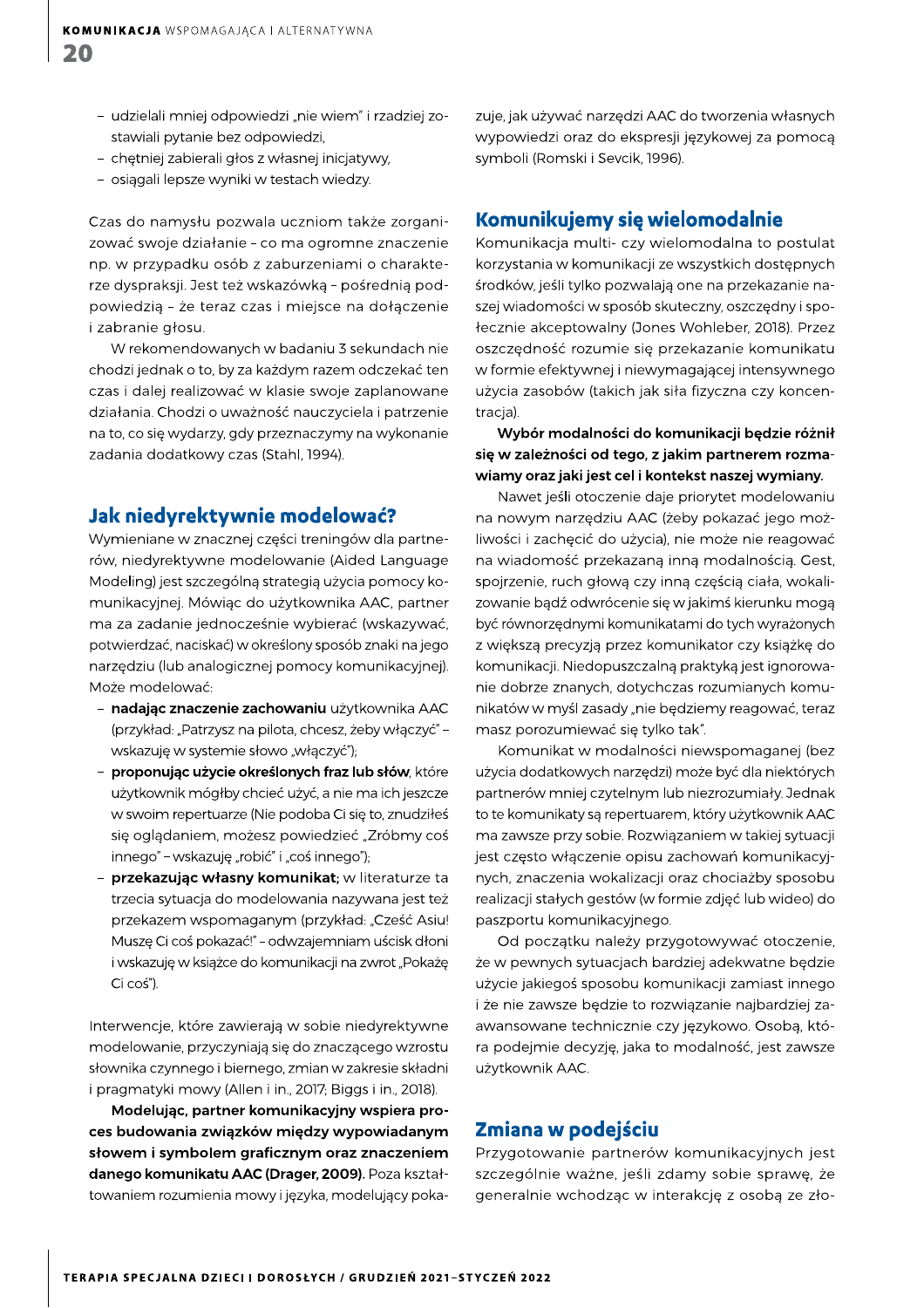- udzielali mniej odpowiedzi "nie wiem" i rzadziej zostawiali pytanie bez odpowiedzi,
- chętniej zabierali głos z własnej inicjatywy,
- osiągali lepsze wyniki w testach wiedzy.

Czas do namysłu pozwala uczniom także zorganizować swoje działanie - co ma ogromne znaczenie np. w przypadku osób z zaburzeniami o charakterze dyspraksji. Jest też wskazówką - pośrednią podpowiedzią - że teraz czas i miejsce na dołączenie i zabranie głosu.

W rekomendowanych w badaniu 3 sekundach nie chodzi jednak o to, by za każdym razem odczekać ten czas i dalej realizować w klasie swoje zaplanowane działania. Chodzi o uważność nauczyciela i patrzenie na to, co się wydarzy, gdy przeznaczymy na wykonanie zadania dodatkowy czas (Stahl, 1994).

#### Jak niedyrektywnie modelować?

Wymieniane w znacznej części treningów dla partnerów, niedyrektywne modelowanie (Aided Language Modeling) jest szczególną strategią użycia pomocy komunikacyjnej. Mówiąc do użytkownika AAC, partner ma za zadanie jednocześnie wybierać (wskazywać, potwierdzać, naciskać) w określony sposób znaki na jego narzędziu (lub analogicznej pomocy komunikacyjnej). Może modelować:

- nadając znaczenie zachowaniu użytkownika AAC (przykład: "Patrzysz na pilota, chcesz, żeby włączyć" wskazuję w systemie słowo "włączyć");
- proponując użycie określonych fraz lub słów, które użytkownik mógłby chcieć użyć, a nie ma ich jeszcze w swoim repertuarze (Nie podoba Ci się to, znudziłeś się oglądaniem, możesz powiedzieć "Zróbmy coś innego" - wskazuję "robić" i "coś innego");
- przekazując własny komunikat; w literaturze ta trzecia sytuacja do modelowania nazywana jest też przekazem wspomaganym (przykład: "Cześć Asiu! Muszę Ci coś pokazać!" - odwzajemniam uścisk dłoni i wskazuję w książce do komunikacji na zwrot "Pokażę Ci coś").

Interwencje, które zawierają w sobie niedyrektywne modelowanie, przyczyniają się do znaczącego wzrostu słownika czynnego i biernego, zmian w zakresie składni i pragmatyki mowy (Allen i in., 2017; Biggs i in., 2018).

Modelując, partner komunikacyjny wspiera proces budowania związków między wypowiadanym słowem i symbolem graficznym oraz znaczeniem danego komunikatu AAC (Drager, 2009). Poza kształtowaniem rozumienia mowy i języka, modelujący pokazuje, jak używać narzędzi AAC do tworzenia własnych wypowiedzi oraz do ekspresji językowej za pomocą symboli (Romski i Sevcik, 1996).

#### Komunikujemy się wielomodalnie

Komunikacja multi- czy wielomodalna to postulat korzystania w komunikacji ze wszystkich dostępnych środków, jeśli tylko pozwalają one na przekazanie naszej wiadomości w sposób skuteczny, oszczędny i społecznie akceptowalny (Jones Wohleber, 2018). Przez oszczędność rozumie się przekazanie komunikatu w formie efektywnej i niewymagającej intensywnego użycia zasobów (takich jak siła fizyczna czy koncentracja).

Wybór modalności do komunikacji będzie różnił się w zależności od tego, z jakim partnerem rozmawiamy oraz jaki jest cel i kontekst naszej wymiany.

Nawet jeśli otoczenie daje priorytet modelowaniu na nowym narzędziu AAC (żeby pokazać jego możliwości i zachęcić do użycia), nie może nie reagować na wiadomość przekazaną inną modalnością. Gest, spojrzenie, ruch głową czy inną częścią ciała, wokalizowanie bądź odwrócenie się w jakimś kierunku mogą być równorzędnymi komunikatami do tych wyrażonych z większą precyzją przez komunikator czy książkę do komunikacji. Niedopuszczalną praktyką jest ignorowanie dobrze znanych, dotychczas rozumianych komunikatów w myśl zasady "nie będziemy reagować, teraz masz porozumiewać się tylko tak".

Komunikat w modalności niewspomaganej (bez użycia dodatkowych narzędzi) może być dla niektórych partnerów mniej czytelnym lub niezrozumiały. Jednak to te komunikaty są repertuarem, który użytkownik AAC ma zawsze przy sobie. Rozwiązaniem w takiej sytuacji jest często włączenie opisu zachowań komunikacyjnych, znaczenia wokalizacji oraz chociażby sposobu realizacji stałych gestów (w formie zdjęć lub wideo) do paszportu komunikacyjnego.

Od początku należy przygotowywać otoczenie, że w pewnych sytuacjach bardziej adekwatne będzie użycie jakiegoś sposobu komunikacji zamiast innego i że nie zawsze będzie to rozwiązanie najbardziej zaawansowane technicznie czy językowo. Osobą, która podejmie decyzję, jaka to modalność, jest zawsze użytkownik AAC.

#### Zmiana w podejściu

Przygotowanie partnerów komunikacyjnych jest szczególnie ważne, jeśli zdamy sobie sprawę, że generalnie wchodząc w interakcję z osobą ze zło-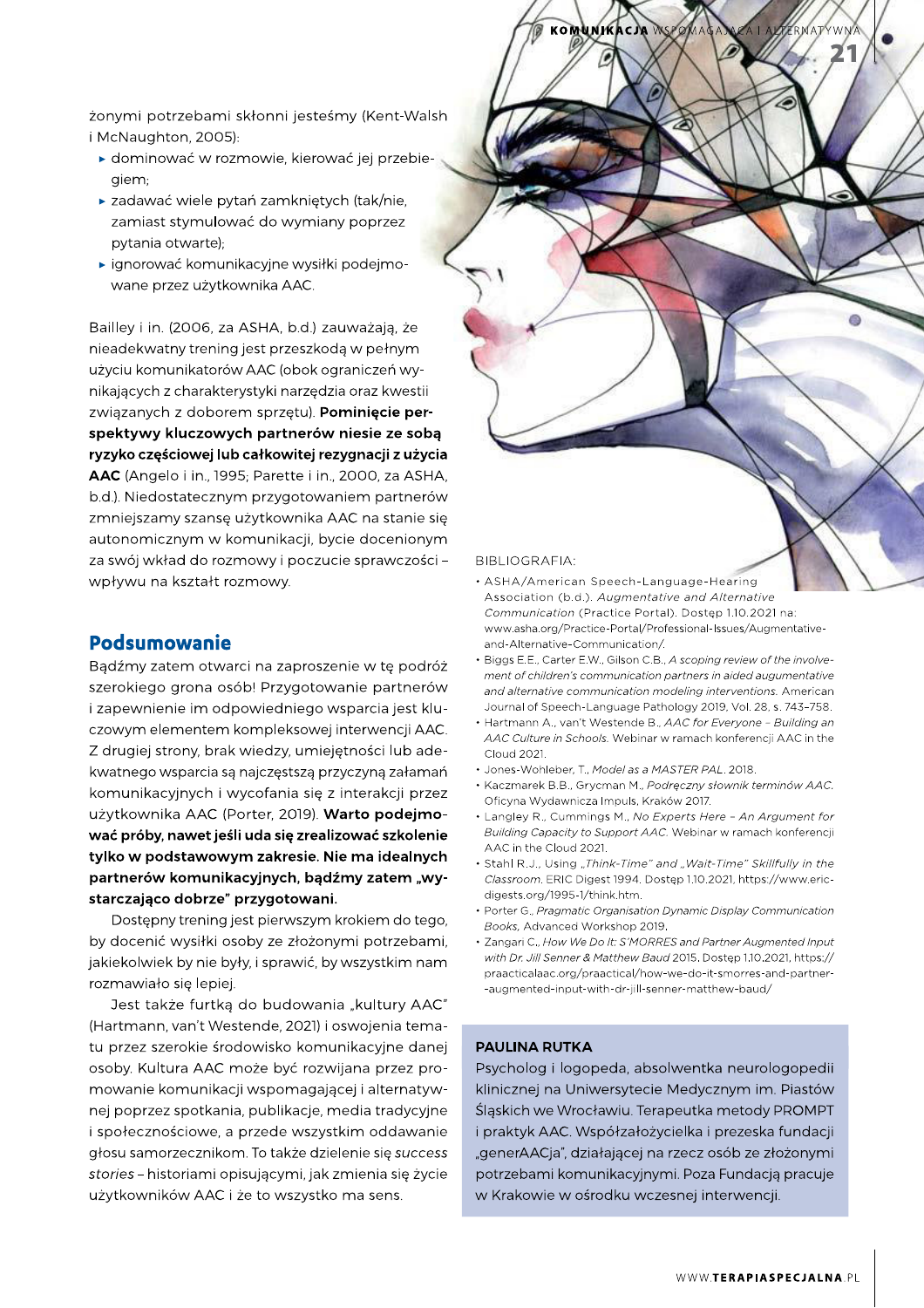żonymi potrzebami skłonni jesteśmy (Kent-Walsh i McNaughton, 2005):

- ▶ dominować w rozmowie, kierować jej przebiegiem;
- ► zadawać wiele pytań zamkniętych (tak/nie, zamiast stymulować do wymiany poprzez pytania otwarte);
- » ignorować komunikacyjne wysiłki podejmowane przez użytkownika AAC.

Bailley i in. (2006, za ASHA, b.d.) zauważają, że nieadekwatny trening jest przeszkodą w pełnym użyciu komunikatorów AAC (obok ograniczeń wynikających z charakterystyki narzędzia oraz kwestii związanych z doborem sprzętu). Pominięcie perspektywy kluczowych partnerów niesie ze sobą ryzyko częściowej lub całkowitej rezygnacji z użycia AAC (Angelo i in., 1995; Parette i in., 2000, za ASHA, b.d.). Niedostatecznym przygotowaniem partnerów zmniejszamy szansę użytkownika AAC na stanie się autonomicznym w komunikacji, bycie docenionym za swój wkład do rozmowy i poczucie sprawczości wpływu na kształt rozmowy.

#### **Podsumowanie**

Bądźmy zatem otwarci na zaproszenie w tę podróż szerokiego grona osób! Przygotowanie partnerów i zapewnienie im odpowiedniego wsparcia jest kluczowym elementem kompleksowej interwencji AAC. Z drugiej strony, brak wiedzy, umiejętności lub adekwatnego wsparcia są najczęstszą przyczyną załamań komunikacyjnych i wycofania się z interakcji przez użytkownika AAC (Porter, 2019). Warto podejmować próby, nawet jeśli uda się zrealizować szkolenie tylko w podstawowym zakresie. Nie ma idealnych partnerów komunikacyjnych, bądźmy zatem "wystarczająco dobrze" przygotowani.

Dostępny trening jest pierwszym krokiem do tego, by docenić wysiłki osoby ze złożonymi potrzebami, jakiekolwiek by nie były, i sprawić, by wszystkim nam rozmawiało się lepiej.

Jest także furtką do budowania "kultury AAC" (Hartmann, van't Westende, 2021) i oswojenia tematu przez szerokie środowisko komunikacyjne danej osoby. Kultura AAC może być rozwijana przez promowanie komunikacji wspomagającej i alternatywnej poprzez spotkania, publikacje, media tradycyjne i społecznościowe, a przede wszystkim oddawanie głosu samorzecznikom. To także dzielenie się success stories - historiami opisującymi, jak zmienia się życie użytkowników AAC i że to wszystko ma sens.

# **KOMUNIK**

#### **BIBLIOGRAFIA:**

- ASHA/American Speech-Language-Hearing Association (b.d.). Augmentative and Alternative Communication (Practice Portal). Dostęp 1.10.2021 na: www.asha.org/Practice-Portal/Professional-Issues/Augmentativeand-Alternative-Communication/.
- Biggs E.F. Carter E.W. Gilson C.B. A scoping review of the involvement of children's communication partners in aided augumentative and alternative communication modeling interventions. American Journal of Speech-Language Pathology 2019, Vol. 28, s. 743-758.
- Hartmann A., van't Westende B., AAC for Everyone Building an AAC Culture in Schools. Webinar w ramach konferencij AAC in the Cloud 2021.
- Jones-Wohleber, T., Model as a MASTER PAL. 2018.
- · Kaczmarek B.B., Grycman M., Podręczny słownik terminów AAC. Oficyna Wydawnicza Impuls, Kraków 2017.
- Langley R., Cummings M., No Experts Here An Argument for Building Capacity to Support AAC. Webinar w ramach konferencji AAC in the Cloud 2021
- · Stahl R.J., Using "Think-Time" and "Wait-Time" Skillfully in the Classroom. ERIC Digest 1994. Dostęp 1.10.2021, https://www.ericdigests.org/1995-1/think.htm.
- Porter G., Pragmatic Organisation Dynamic Display Communication Books, Advanced Workshop 2019.
- Zangari C., How We Do It: S'MORRES and Partner Augmented Input with Dr. Jill Senner & Matthew Baud 2015. Dostęp 1.10.2021, https:// praacticalaac.org/praactical/how-we-do-it-smorres-and-partner--augmented-input-with-dr-jill-senner-matthew-baud/

#### **PAULINA RUTKA**

Psycholog i logopeda, absolwentka neurologopedii klinicznej na Uniwersytecie Medycznym im. Piastów Śląskich we Wrocławiu. Terapeutka metody PROMPT i praktyk AAC. Współzałożycielka i prezeska fundacji "generAACja", działającej na rzecz osób ze złożonymi potrzebami komunikacyjnymi. Poza Fundacją pracuje w Krakowie w ośrodku wczesnej interwencji.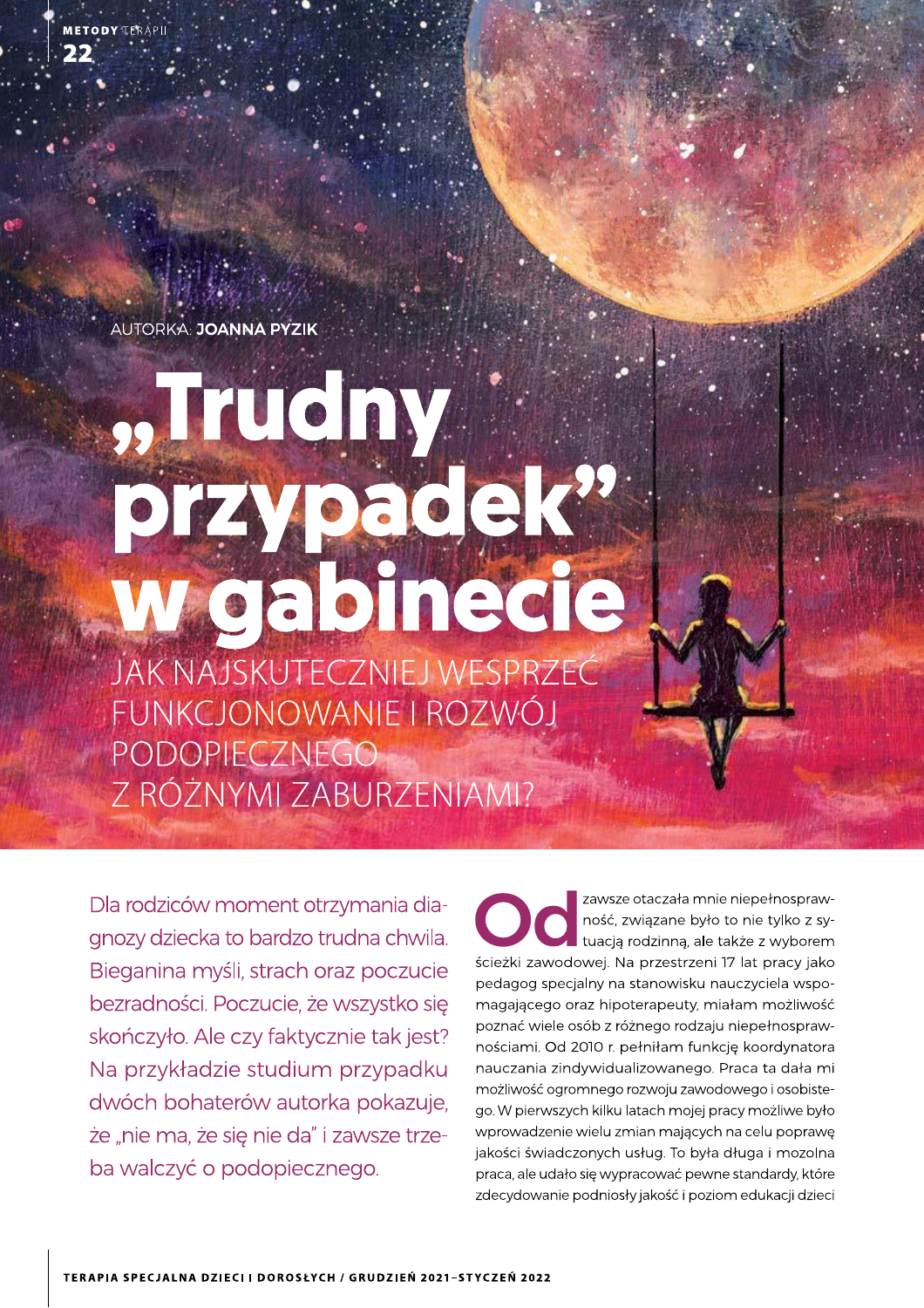AUTORKA: JOANNA PYZIK

# "Truchy. przypacjek? weabinede

JAK NAJSKUTECZNIEJ WESPRZEĆ FUNKCJONOWANIE I ROZWÓJ PODOPIECZNEGO Z RÓŻNYMI ZABURZENIAMI?

Dla rodziców moment otrzymania diagnozy dziecka to bardzo trudna chwila. Bieganina myśli, strach oraz poczucie bezradności. Poczucie, że wszystko się skończyło. Ale czy faktycznie tak jest? Na przykładzie studium przypadku dwóch bohaterów autorka pokazuje. że "nie ma, że się nie da" i zawsze trzeba walczyć o podopiecznego.

zawsze otaczała mnie niepełnosprawność, związane było to nie tylko z sytuacją rodzinną, ale także z wyborem ścieżki zawodowej. Na przestrzeni 17 lat pracy jako pedagog specjalny na stanowisku nauczyciela wspomagającego oraz hipoterapeuty, miałam możliwość poznać wiele osób z różnego rodzaju niepełnosprawnościami. Od 2010 r. pełniłam funkcję koordynatora nauczania zindywidualizowanego. Praca ta dała mi możliwość ogromnego rozwoju zawodowego i osobistego. W pierwszych kilku latach mojej pracy możliwe było wprowadzenie wielu zmian mających na celu poprawę jakości świadczonych usług. To była długa i mozolna praca, ale udało się wypracować pewne standardy, które zdecydowanie podniosły jakość i poziom edukacji dzieci